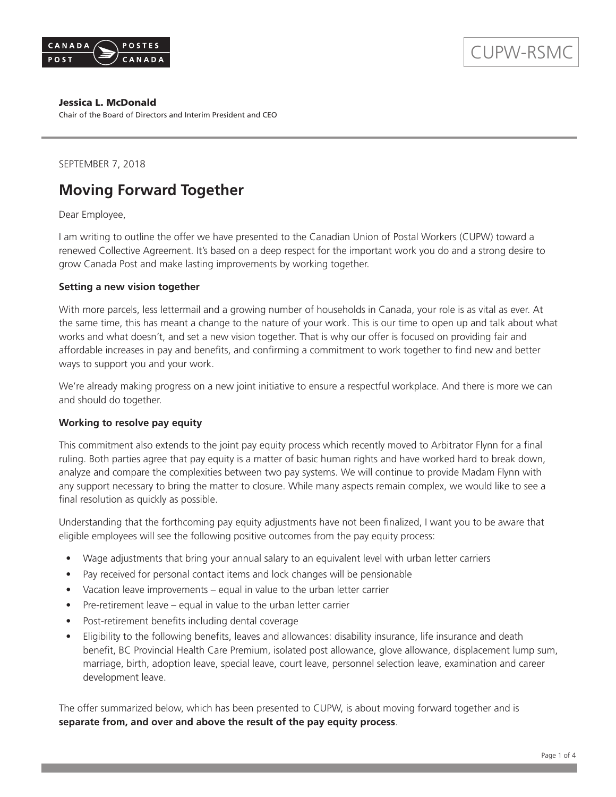

#### Jessica L. McDonald

Chair of the Board of Directors and Interim President and CEO

SEPTEMBER 7, 2018

### **Moving Forward Together**

Dear Employee,

I am writing to outline the offer we have presented to the Canadian Union of Postal Workers (CUPW) toward a renewed Collective Agreement. It's based on a deep respect for the important work you do and a strong desire to grow Canada Post and make lasting improvements by working together.

#### **Setting a new vision together**

With more parcels, less lettermail and a growing number of households in Canada, your role is as vital as ever. At the same time, this has meant a change to the nature of your work. This is our time to open up and talk about what works and what doesn't, and set a new vision together. That is why our offer is focused on providing fair and affordable increases in pay and benefits, and confirming a commitment to work together to find new and better ways to support you and your work.

We're already making progress on a new joint initiative to ensure a respectful workplace. And there is more we can and should do together.

#### **Working to resolve pay equity**

This commitment also extends to the joint pay equity process which recently moved to Arbitrator Flynn for a final ruling. Both parties agree that pay equity is a matter of basic human rights and have worked hard to break down, analyze and compare the complexities between two pay systems. We will continue to provide Madam Flynn with any support necessary to bring the matter to closure. While many aspects remain complex, we would like to see a final resolution as quickly as possible.

Understanding that the forthcoming pay equity adjustments have not been finalized, I want you to be aware that eligible employees will see the following positive outcomes from the pay equity process:

- Wage adjustments that bring your annual salary to an equivalent level with urban letter carriers
- Pay received for personal contact items and lock changes will be pensionable
- Vacation leave improvements equal in value to the urban letter carrier
- Pre-retirement leave equal in value to the urban letter carrier
- Post-retirement benefits including dental coverage
- Eligibility to the following benefits, leaves and allowances: disability insurance, life insurance and death benefit, BC Provincial Health Care Premium, isolated post allowance, glove allowance, displacement lump sum, marriage, birth, adoption leave, special leave, court leave, personnel selection leave, examination and career development leave.

The offer summarized below, which has been presented to CUPW, is about moving forward together and is **separate from, and over and above the result of the pay equity process**.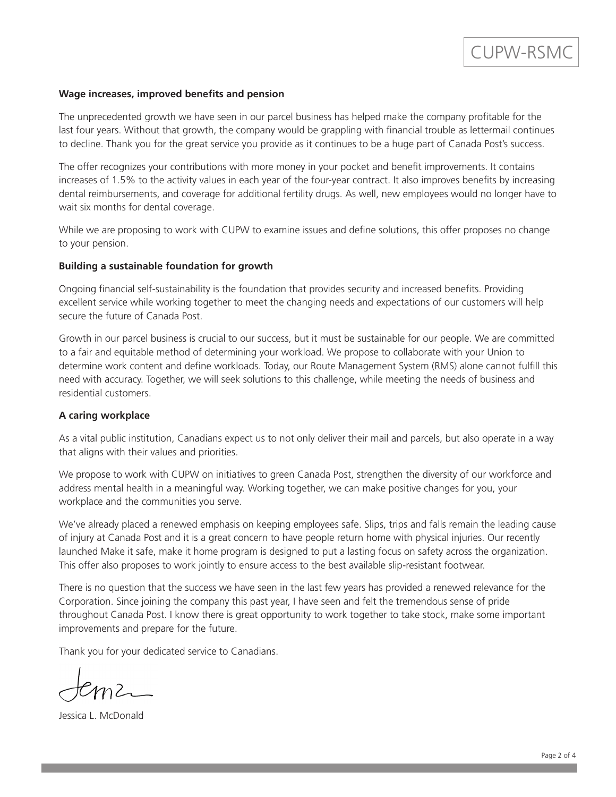#### **Wage increases, improved benefits and pension**

The unprecedented growth we have seen in our parcel business has helped make the company profitable for the last four years. Without that growth, the company would be grappling with financial trouble as lettermail continues to decline. Thank you for the great service you provide as it continues to be a huge part of Canada Post's success.

The offer recognizes your contributions with more money in your pocket and benefit improvements. It contains increases of 1.5% to the activity values in each year of the four-year contract. It also improves benefits by increasing dental reimbursements, and coverage for additional fertility drugs. As well, new employees would no longer have to wait six months for dental coverage.

While we are proposing to work with CUPW to examine issues and define solutions, this offer proposes no change to your pension.

#### **Building a sustainable foundation for growth**

Ongoing financial self-sustainability is the foundation that provides security and increased benefits. Providing excellent service while working together to meet the changing needs and expectations of our customers will help secure the future of Canada Post.

Growth in our parcel business is crucial to our success, but it must be sustainable for our people. We are committed to a fair and equitable method of determining your workload. We propose to collaborate with your Union to determine work content and define workloads. Today, our Route Management System (RMS) alone cannot fulfill this need with accuracy. Together, we will seek solutions to this challenge, while meeting the needs of business and residential customers.

#### **A caring workplace**

As a vital public institution, Canadians expect us to not only deliver their mail and parcels, but also operate in a way that aligns with their values and priorities.

We propose to work with CUPW on initiatives to green Canada Post, strengthen the diversity of our workforce and address mental health in a meaningful way. Working together, we can make positive changes for you, your workplace and the communities you serve.

We've already placed a renewed emphasis on keeping employees safe. Slips, trips and falls remain the leading cause of injury at Canada Post and it is a great concern to have people return home with physical injuries. Our recently launched Make it safe, make it home program is designed to put a lasting focus on safety across the organization. This offer also proposes to work jointly to ensure access to the best available slip-resistant footwear.

There is no question that the success we have seen in the last few years has provided a renewed relevance for the Corporation. Since joining the company this past year, I have seen and felt the tremendous sense of pride throughout Canada Post. I know there is great opportunity to work together to take stock, make some important improvements and prepare for the future.

Thank you for your dedicated service to Canadians.

 $m$ 2

Jessica L. McDonald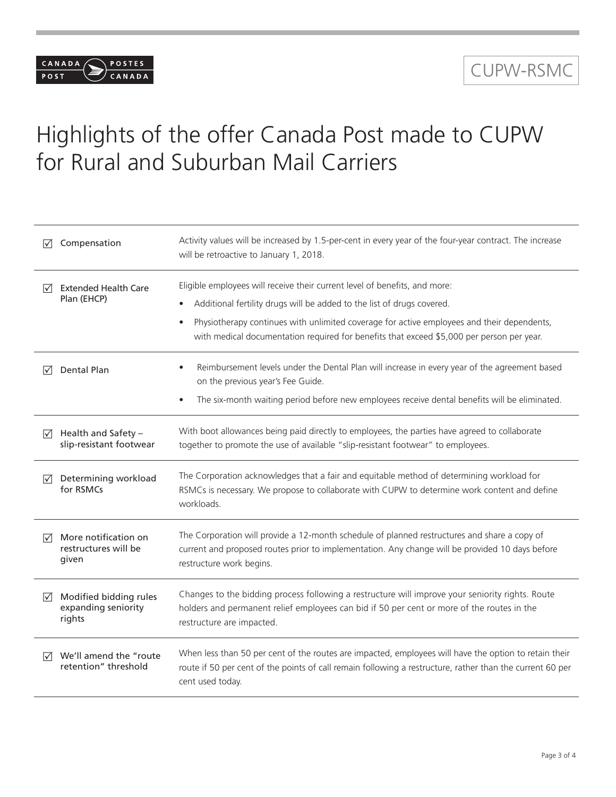## CUPW-RSMC

# Highlights of the offer Canada Post made to CUPW for Rural and Suburban Mail Carriers

CANADA /

 $POST$ 

POSTES CANADA

| Compensation<br>$\sqrt{}$                                                  | Activity values will be increased by 1.5-per-cent in every year of the four-year contract. The increase<br>will be retroactive to January 1, 2018.                                                                                                                                                                                                           |
|----------------------------------------------------------------------------|--------------------------------------------------------------------------------------------------------------------------------------------------------------------------------------------------------------------------------------------------------------------------------------------------------------------------------------------------------------|
| <b>Extended Health Care</b><br>$\sqrt{ }$<br>Plan (EHCP)                   | Eligible employees will receive their current level of benefits, and more:<br>Additional fertility drugs will be added to the list of drugs covered.<br>Physiotherapy continues with unlimited coverage for active employees and their dependents,<br>$\bullet$<br>with medical documentation required for benefits that exceed \$5,000 per person per year. |
| Dental Plan<br>$\sqrt{}$                                                   | Reimbursement levels under the Dental Plan will increase in every year of the agreement based<br>on the previous year's Fee Guide.<br>The six-month waiting period before new employees receive dental benefits will be eliminated.<br>$\bullet$                                                                                                             |
| Health and Safety -<br>⊠<br>slip-resistant footwear                        | With boot allowances being paid directly to employees, the parties have agreed to collaborate<br>together to promote the use of available "slip-resistant footwear" to employees.                                                                                                                                                                            |
| Determining workload<br>⋈<br>for RSMCs                                     | The Corporation acknowledges that a fair and equitable method of determining workload for<br>RSMCs is necessary. We propose to collaborate with CUPW to determine work content and define<br>workloads.                                                                                                                                                      |
| More notification on<br>⊠<br>restructures will be<br>given                 | The Corporation will provide a 12-month schedule of planned restructures and share a copy of<br>current and proposed routes prior to implementation. Any change will be provided 10 days before<br>restructure work begins.                                                                                                                                  |
| Modified bidding rules<br>$\triangledown$<br>expanding seniority<br>rights | Changes to the bidding process following a restructure will improve your seniority rights. Route<br>holders and permanent relief employees can bid if 50 per cent or more of the routes in the<br>restructure are impacted.                                                                                                                                  |
| We'll amend the "route<br>$\sqrt{ }$<br>retention" threshold               | When less than 50 per cent of the routes are impacted, employees will have the option to retain their<br>route if 50 per cent of the points of call remain following a restructure, rather than the current 60 per<br>cent used today.                                                                                                                       |